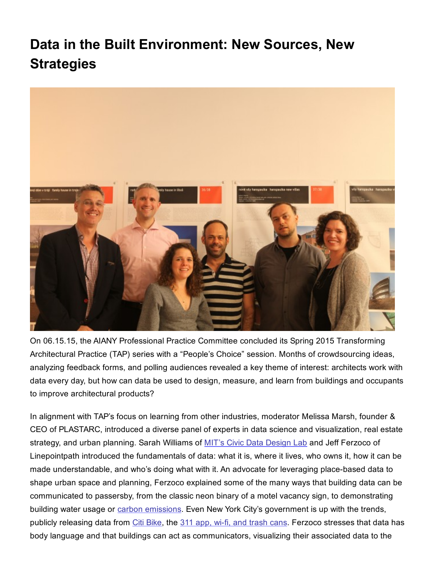## Data in the Built Environment: New Sources, New **Strategies**



On 06.15.15, the AIANY Professional Practice Committee concluded its Spring 2015 Transforming Architectural Practice (TAP) series with a "People's Choice" session. Months of crowdsourcing ideas, analyzing feedback forms, and polling audiences revealed a key theme of interest: architects work with data every day, but how can data be used to design, measure, and learn from buildings and occupants to improve architectural products?

In alignment with TAP's focus on learning from other industries, moderator Melissa Marsh, founder & CEO of PLASTARC, introduced a diverse panel of experts in data science and visualization, real estate strategy, and urban planning. Sarah Williams of MIT's Civic Data [Design](http://www.civicdatadesignlab.org/) Lab and Jeff Ferzoco of Linepointpath introduced the fundamentals of data: what it is, where it lives, who owns it, how it can be made understandable, and who's doing what with it. An advocate for leveraging place-based data to shape urban space and planning, Ferzoco explained some of the many ways that building data can be communicated to passersby, from the classic neon binary of a motel vacancy sign, to demonstrating building water usage or carbon [emissions](http://eco-publicart.org/nuage-vert-green-cloud/). Even New York City's government is up with the trends, publicly releasing data from Citi [Bike](http://linepointpath.com/111242/2771111/work/citi-bike-visualization), the 311 app, wi-fi, and [trash](http://blog.datapolitan.com/2014/07/16/corridorscope-a-day-in-the-life-of-water-street/) cans. Ferzoco stresses that data has body language and that buildings can act as communicators, visualizing their associated data to the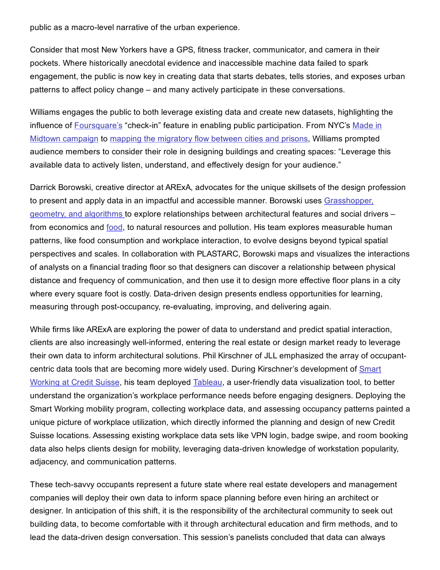public as a macro-level narrative of the urban experience.

Consider that most New Yorkers have a GPS, fitness tracker, communicator, and camera in their pockets. Where historically anecdotal evidence and inaccessible machine data failed to spark engagement, the public is now key in creating data that starts debates, tells stories, and exposes urban patterns to affect policy change – and many actively participate in these conversations.

Williams engages the public to both leverage existing data and create new datasets, highlighting the influence of [Foursquare's](http://www.civicdatadesignlab.org/#/made-in-midtown/) "check-in" feature in enabling public participation. From NYC's Made in Midtown [campaign](http://www.civicdatadesignlab.org/#/made-in-midtown/) to mapping the [migratory](http://www.moma.org/collection/browse_results.php?criteria=O%3AAD%3AE%3A33292&page_number=1&template_id=1&sort_order=1) flow between cities and prisons, Williams prompted audience members to consider their role in designing buildings and creating spaces: "Leverage this available data to actively listen, understand, and effectively design for your audience."

Darrick Borowski, creative director at ARExA, advocates for the unique skillsets of the design profession to present and apply data in an impactful and accessible manner. Borowski uses [Grasshopper,](http://are-a.net/portfolio/nestm-greenlab/) geometry, and algorithms to explore relationships between architectural features and social drivers – from economics and [food,](http://are-a.net/portfolio/keene-energy-agriculture-project-keap/) to natural resources and pollution. His team explores measurable human patterns, like food consumption and workplace interaction, to evolve designs beyond typical spatial perspectives and scales. In collaboration with PLASTARC, Borowski maps and visualizes the interactions of analysts on a financial trading floor so that designers can discover a relationship between physical distance and frequency of communication, and then use it to design more effective floor plans in a city where every square foot is costly. Data-driven design presents endless opportunities for learning, measuring through post-occupancy, re-evaluating, improving, and delivering again.

While firms like ARExA are exploring the power of data to understand and predict spatial interaction, clients are also increasingly well-informed, entering the real estate or design market ready to leverage their own data to inform architectural solutions. Phil Kirschner of JLL emphasized the array of occupantcentric data tools that are becoming more widely used. During Kirschner's [development](http://workdesign.com/2012/09/coworking-is-smart-working-at-credit-suisse/) of Smart Working at Credit Suisse, his team deployed [Tableau](http://www.tableau.com/), a user-friendly data visualization tool, to better understand the organization's workplace performance needs before engaging designers. Deploying the Smart Working mobility program, collecting workplace data, and assessing occupancy patterns painted a unique picture of workplace utilization, which directly informed the planning and design of new Credit Suisse locations. Assessing existing workplace data sets like VPN login, badge swipe, and room booking data also helps clients design for mobility, leveraging data-driven knowledge of workstation popularity, adjacency, and communication patterns.

These tech-savvy occupants represent a future state where real estate developers and management companies will deploy their own data to inform space planning before even hiring an architect or designer. In anticipation of this shift, it is the responsibility of the architectural community to seek out building data, to become comfortable with it through architectural education and firm methods, and to lead the data-driven design conversation. This session's panelists concluded that data can always